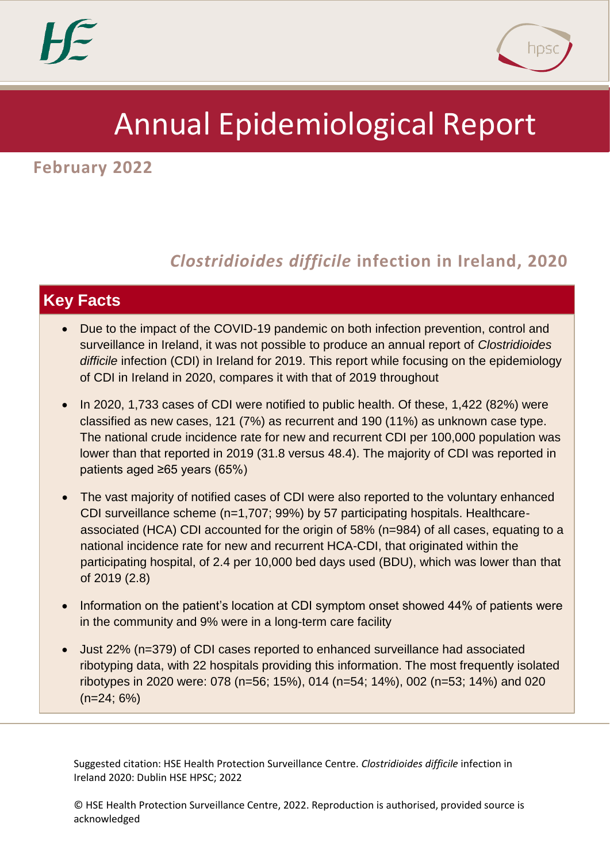

# Annual Epidemiological Report

**February 2022**

# **1** *Clostridioides difficile* **infection in Ireland, 2020**

# **Key Facts**

- Due to the impact of the COVID-19 pandemic on both infection prevention, control and surveillance in Ireland, it was not possible to produce an annual report of *Clostridioides difficile* infection (CDI) in Ireland for 2019. This report while focusing on the epidemiology of CDI in Ireland in 2020, compares it with that of 2019 throughout
- In 2020, 1,733 cases of CDI were notified to public health. Of these, 1,422 (82%) were classified as new cases, 121 (7%) as recurrent and 190 (11%) as unknown case type. The national crude incidence rate for new and recurrent CDI per 100,000 population was lower than that reported in 2019 (31.8 versus 48.4). The majority of CDI was reported in patients aged ≥65 years (65%)
- The vast majority of notified cases of CDI were also reported to the voluntary enhanced CDI surveillance scheme (n=1,707; 99%) by 57 participating hospitals. Healthcareassociated (HCA) CDI accounted for the origin of 58% (n=984) of all cases, equating to a national incidence rate for new and recurrent HCA-CDI, that originated within the participating hospital, of 2.4 per 10,000 bed days used (BDU), which was lower than that of 2019 (2.8)
- Information on the patient's location at CDI symptom onset showed 44% of patients were in the community and 9% were in a long-term care facility
- Just 22% (n=379) of CDI cases reported to enhanced surveillance had associated ribotyping data, with 22 hospitals providing this information. The most frequently isolated ribotypes in 2020 were: 078 (n=56; 15%), 014 (n=54; 14%), 002 (n=53; 14%) and 020  $(n=24; 6%)$

Suggested citation: HSE Health Protection Surveillance Centre. *Clostridioides difficile* infection in Ireland 2020: Dublin HSE HPSC; 2022

© HSE Health Protection Surveillance Centre, 2022. Reproduction is authorised, provided source is acknowledged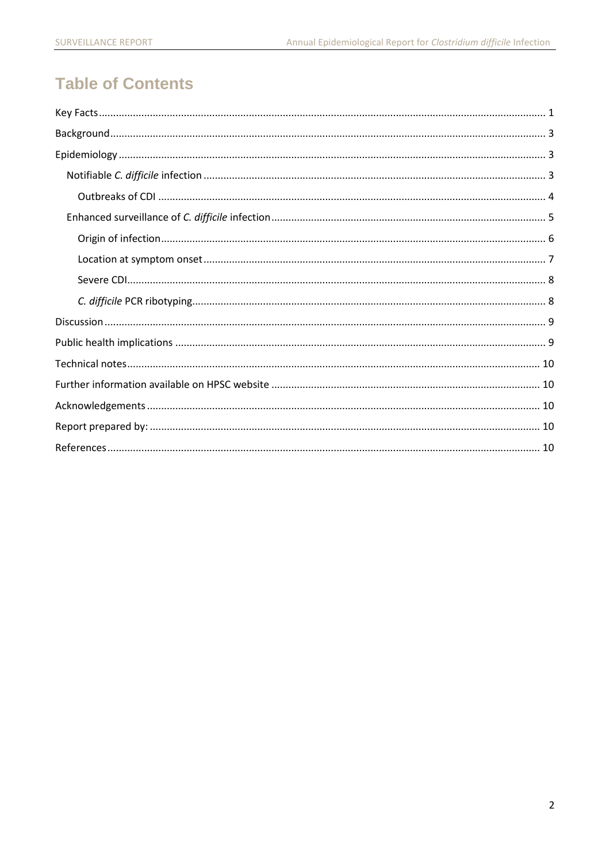# **Table of Contents**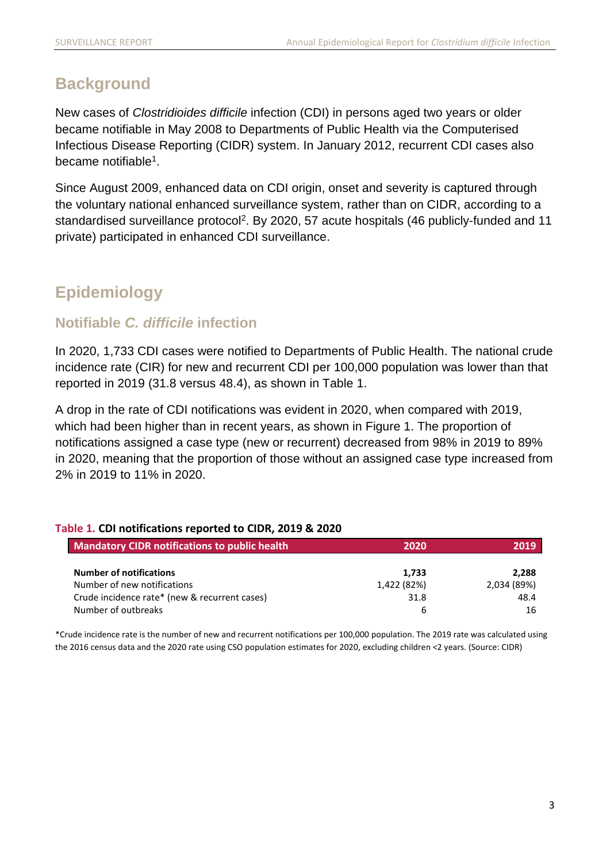# <span id="page-2-0"></span>**Background**

New cases of *Clostridioides difficile* infection (CDI) in persons aged two years or older became notifiable in May 2008 to Departments of Public Health via the Computerised Infectious Disease Reporting (CIDR) system. In January 2012, recurrent CDI cases also became notifiable<sup>1</sup>.

Since August 2009, enhanced data on CDI origin, onset and severity is captured through the voluntary national enhanced surveillance system, rather than on CIDR, according to a standardised surveillance protocol<sup>2</sup>. By 2020, 57 acute hospitals (46 publicly-funded and 11 private) participated in enhanced CDI surveillance.

# <span id="page-2-1"></span>**Epidemiology**

### <span id="page-2-2"></span>**Notifiable** *C. difficile* **infection**

In 2020, 1,733 CDI cases were notified to Departments of Public Health. The national crude incidence rate (CIR) for new and recurrent CDI per 100,000 population was lower than that reported in 2019 (31.8 versus 48.4), as shown in Table 1.

A drop in the rate of CDI notifications was evident in 2020, when compared with 2019, which had been higher than in recent years, as shown in Figure 1. The proportion of notifications assigned a case type (new or recurrent) decreased from 98% in 2019 to 89% in 2020, meaning that the proportion of those without an assigned case type increased from 2% in 2019 to 11% in 2020.

### **Table 1. CDI notifications reported to CIDR, 2019 & 2020**

| <b>Mandatory CIDR notifications to public health</b> | 2020        | 2019        |
|------------------------------------------------------|-------------|-------------|
| <b>Number of notifications</b>                       | 1,733       | 2.288       |
| Number of new notifications                          | 1,422 (82%) | 2,034 (89%) |
| Crude incidence rate* (new & recurrent cases)        | 31.8        | 48.4        |
| Number of outbreaks                                  | b           | 16          |

\*Crude incidence rate is the number of new and recurrent notifications per 100,000 population. The 2019 rate was calculated using the 2016 census data and the 2020 rate using CSO population estimates for 2020, excluding children <2 years. (Source: CIDR)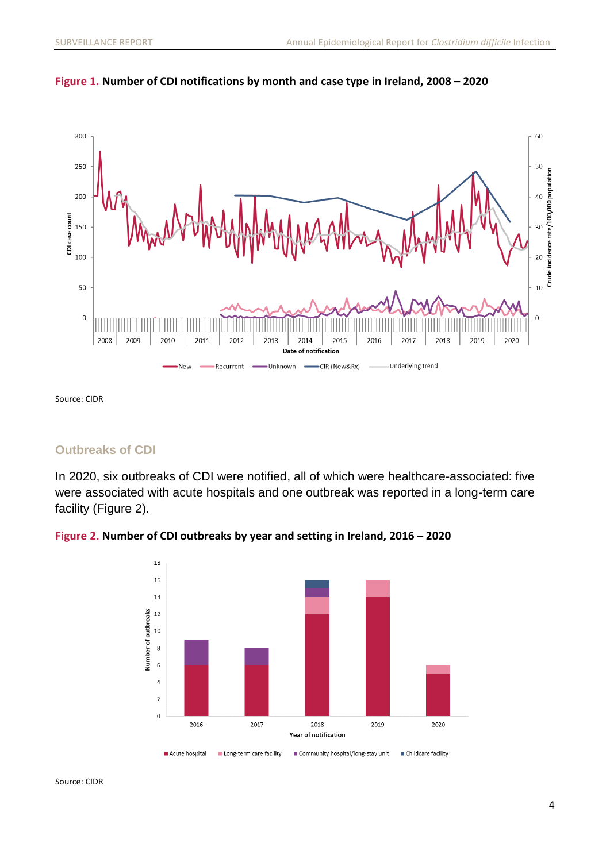



Source: CIDR

### <span id="page-3-0"></span>**Outbreaks of CDI**

In 2020, six outbreaks of CDI were notified, all of which were healthcare-associated: five were associated with acute hospitals and one outbreak was reported in a long-term care facility (Figure 2).



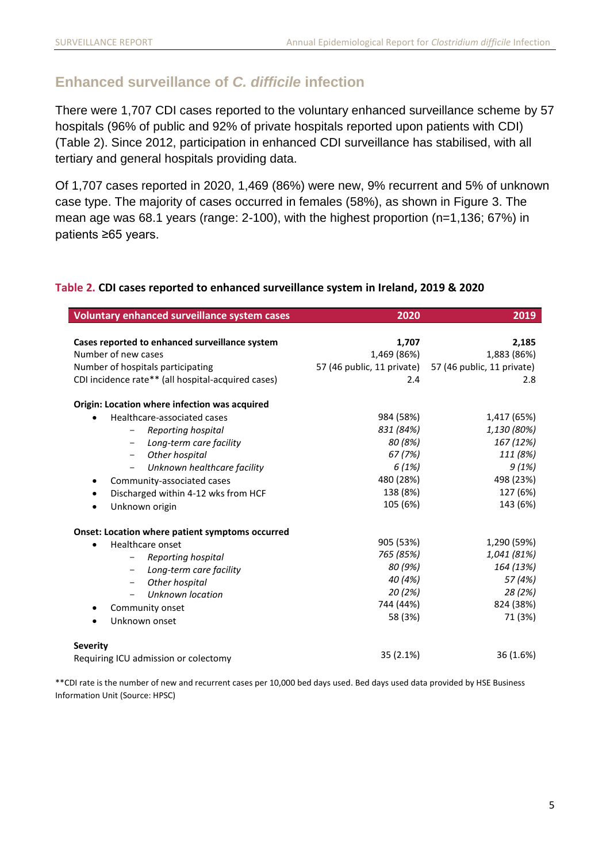### <span id="page-4-0"></span>**Enhanced surveillance of** *C. difficile* **infection**

There were 1,707 CDI cases reported to the voluntary enhanced surveillance scheme by 57 hospitals (96% of public and 92% of private hospitals reported upon patients with CDI) (Table 2). Since 2012, participation in enhanced CDI surveillance has stabilised, with all tertiary and general hospitals providing data.

Of 1,707 cases reported in 2020, 1,469 (86%) were new, 9% recurrent and 5% of unknown case type. The majority of cases occurred in females (58%), as shown in Figure 3. The mean age was 68.1 years (range: 2-100), with the highest proportion (n=1,136; 67%) in patients ≥65 years.

| Voluntary enhanced surveillance system cases       | 2020        | 2019                                                  |
|----------------------------------------------------|-------------|-------------------------------------------------------|
|                                                    |             |                                                       |
| Cases reported to enhanced surveillance system     | 1,707       | 2,185                                                 |
| Number of new cases                                | 1,469 (86%) | 1,883 (86%)                                           |
| Number of hospitals participating                  |             | 57 (46 public, 11 private) 57 (46 public, 11 private) |
| CDI incidence rate** (all hospital-acquired cases) | 2.4         | 2.8                                                   |
| Origin: Location where infection was acquired      |             |                                                       |
| Healthcare-associated cases<br>$\bullet$           | 984 (58%)   | 1,417 (65%)                                           |
| Reporting hospital<br>$-$                          | 831 (84%)   | 1,130 (80%)                                           |
| Long-term care facility<br>$-$                     | 80 (8%)     | 167 (12%)                                             |
| Other hospital<br>$-$                              | 67 (7%)     | 111 (8%)                                              |
| Unknown healthcare facility                        | 6(1%)       | 9(1%)                                                 |
| Community-associated cases<br>$\bullet$            | 480 (28%)   | 498 (23%)                                             |
| Discharged within 4-12 wks from HCF                | 138 (8%)    | 127 (6%)                                              |
| Unknown origin<br>$\bullet$                        | 105 (6%)    | 143 (6%)                                              |
| Onset: Location where patient symptoms occurred    |             |                                                       |
| Healthcare onset<br>$\bullet$                      | 905 (53%)   | 1,290 (59%)                                           |
| Reporting hospital<br>$-$                          | 765 (85%)   | 1,041 (81%)                                           |
| Long-term care facility<br>$-$                     | 80 (9%)     | 164 (13%)                                             |
| Other hospital<br>$-$                              | 40 (4%)     | 57 (4%)                                               |
| Unknown location                                   | 20(2%)      | 28 (2%)                                               |
| Community onset<br>٠                               | 744 (44%)   | 824 (38%)                                             |
| Unknown onset                                      | 58 (3%)     | 71 (3%)                                               |
| <b>Severity</b>                                    |             |                                                       |
| Requiring ICU admission or colectomy               | 35 (2.1%)   | 36 (1.6%)                                             |

### **Table 2. CDI cases reported to enhanced surveillance system in Ireland, 2019 & 2020**

\*\*CDI rate is the number of new and recurrent cases per 10,000 bed days used. Bed days used data provided by HSE Business Information Unit (Source: HPSC)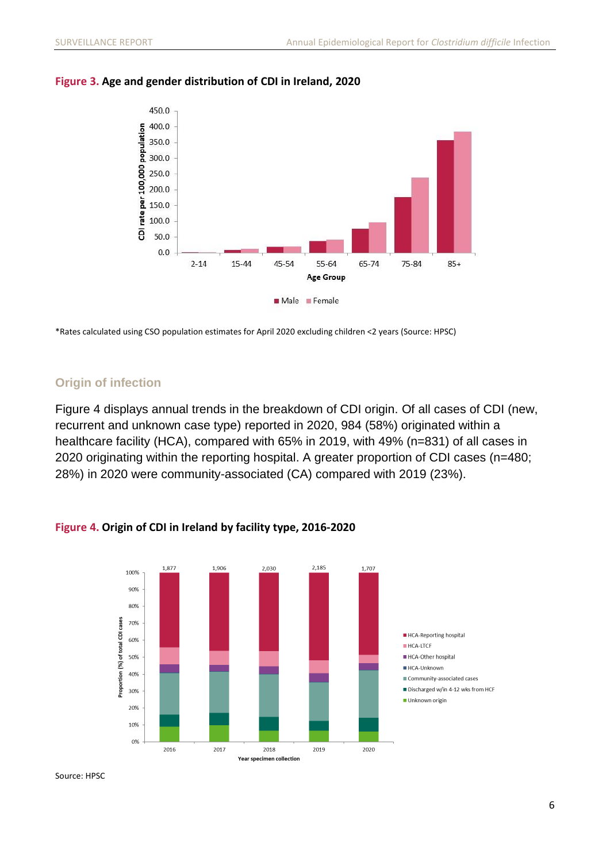

### **Figure 3. Age and gender distribution of CDI in Ireland, 2020**

\*Rates calculated using CSO population estimates for April 2020 excluding children <2 years (Source: HPSC)

### <span id="page-5-0"></span>**Origin of infection**

Figure 4 displays annual trends in the breakdown of CDI origin. Of all cases of CDI (new, recurrent and unknown case type) reported in 2020, 984 (58%) originated within a healthcare facility (HCA), compared with 65% in 2019, with 49% (n=831) of all cases in 2020 originating within the reporting hospital. A greater proportion of CDI cases (n=480; 28%) in 2020 were community-associated (CA) compared with 2019 (23%).

**Figure 4. Origin of CDI in Ireland by facility type, 2016-2020**



#### Source: HPSC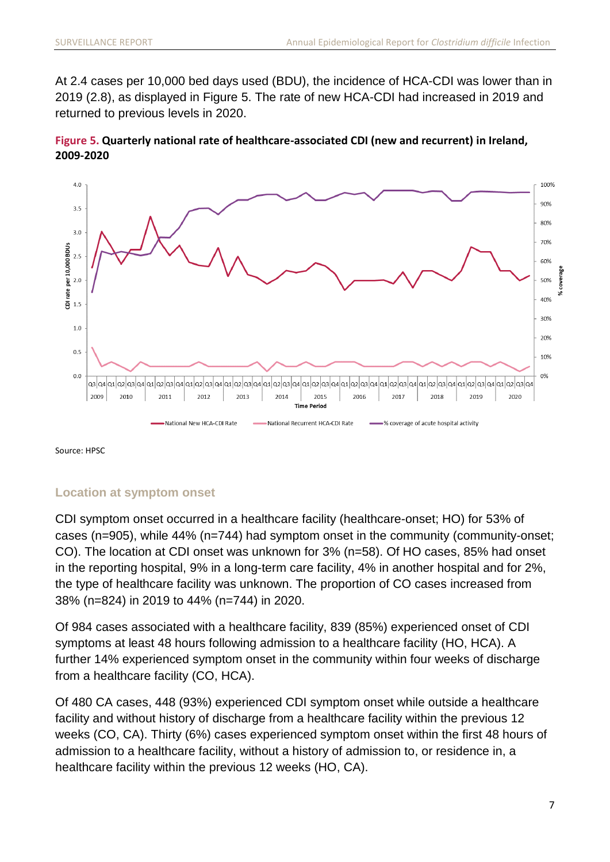At 2.4 cases per 10,000 bed days used (BDU), the incidence of HCA-CDI was lower than in 2019 (2.8), as displayed in Figure 5. The rate of new HCA-CDI had increased in 2019 and returned to previous levels in 2020.





Source: HPSC

### <span id="page-6-0"></span>**Location at symptom onset**

CDI symptom onset occurred in a healthcare facility (healthcare-onset; HO) for 53% of cases (n=905), while 44% (n=744) had symptom onset in the community (community-onset; CO). The location at CDI onset was unknown for 3% (n=58). Of HO cases, 85% had onset in the reporting hospital, 9% in a long-term care facility, 4% in another hospital and for 2%, the type of healthcare facility was unknown. The proportion of CO cases increased from 38% (n=824) in 2019 to 44% (n=744) in 2020.

Of 984 cases associated with a healthcare facility, 839 (85%) experienced onset of CDI symptoms at least 48 hours following admission to a healthcare facility (HO, HCA). A further 14% experienced symptom onset in the community within four weeks of discharge from a healthcare facility (CO, HCA).

Of 480 CA cases, 448 (93%) experienced CDI symptom onset while outside a healthcare facility and without history of discharge from a healthcare facility within the previous 12 weeks (CO, CA). Thirty (6%) cases experienced symptom onset within the first 48 hours of admission to a healthcare facility, without a history of admission to, or residence in, a healthcare facility within the previous 12 weeks (HO, CA).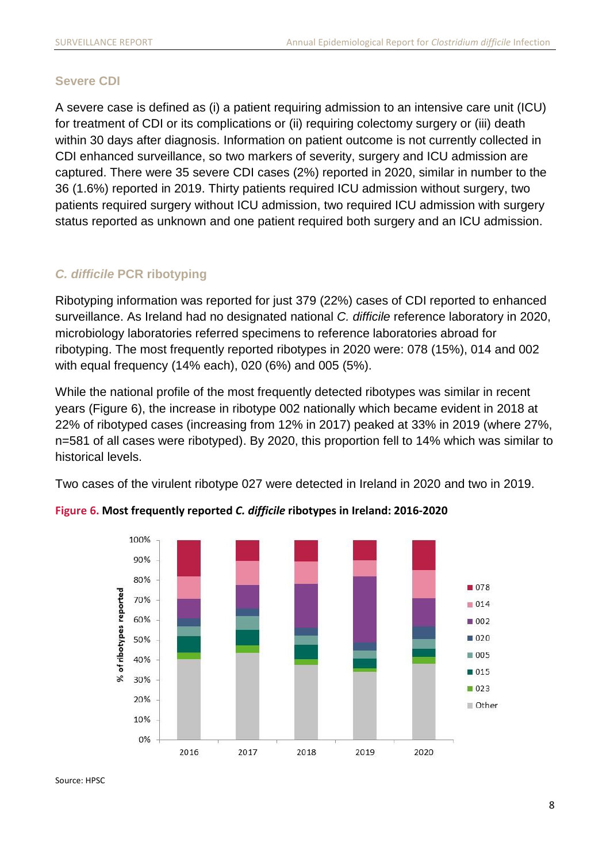### <span id="page-7-0"></span>**Severe CDI**

A severe case is defined as (i) a patient requiring admission to an intensive care unit (ICU) for treatment of CDI or its complications or (ii) requiring colectomy surgery or (iii) death within 30 days after diagnosis. Information on patient outcome is not currently collected in CDI enhanced surveillance, so two markers of severity, surgery and ICU admission are captured. There were 35 severe CDI cases (2%) reported in 2020, similar in number to the 36 (1.6%) reported in 2019. Thirty patients required ICU admission without surgery, two patients required surgery without ICU admission, two required ICU admission with surgery status reported as unknown and one patient required both surgery and an ICU admission.

### <span id="page-7-1"></span>*C. difficile* **PCR ribotyping**

Ribotyping information was reported for just 379 (22%) cases of CDI reported to enhanced surveillance. As Ireland had no designated national *C. difficile* reference laboratory in 2020, microbiology laboratories referred specimens to reference laboratories abroad for ribotyping. The most frequently reported ribotypes in 2020 were: 078 (15%), 014 and 002 with equal frequency (14% each), 020 (6%) and 005 (5%).

While the national profile of the most frequently detected ribotypes was similar in recent years (Figure 6), the increase in ribotype 002 nationally which became evident in 2018 at 22% of ribotyped cases (increasing from 12% in 2017) peaked at 33% in 2019 (where 27%, n=581 of all cases were ribotyped). By 2020, this proportion fell to 14% which was similar to historical levels.

Two cases of the virulent ribotype 027 were detected in Ireland in 2020 and two in 2019.



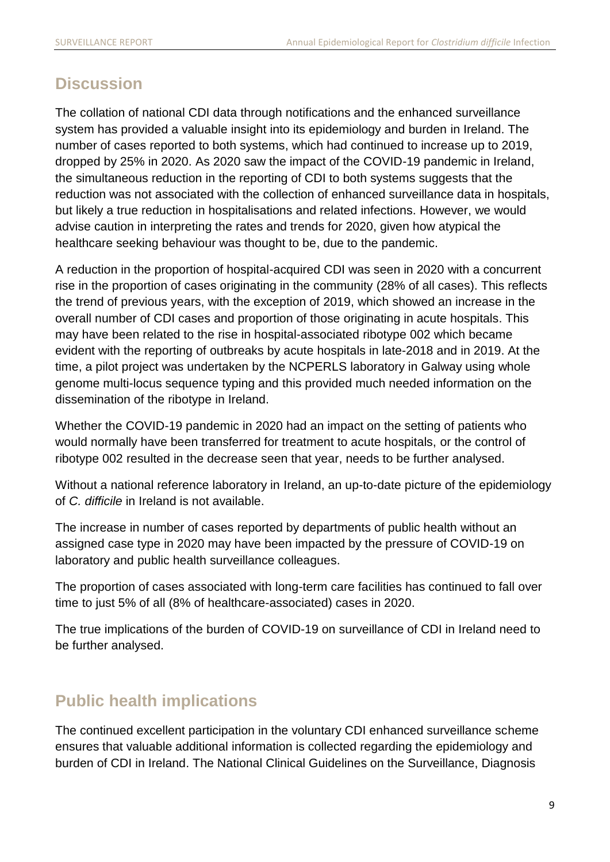# <span id="page-8-0"></span>**Discussion**

The collation of national CDI data through notifications and the enhanced surveillance system has provided a valuable insight into its epidemiology and burden in Ireland. The number of cases reported to both systems, which had continued to increase up to 2019, dropped by 25% in 2020. As 2020 saw the impact of the COVID-19 pandemic in Ireland, the simultaneous reduction in the reporting of CDI to both systems suggests that the reduction was not associated with the collection of enhanced surveillance data in hospitals, but likely a true reduction in hospitalisations and related infections. However, we would advise caution in interpreting the rates and trends for 2020, given how atypical the healthcare seeking behaviour was thought to be, due to the pandemic.

A reduction in the proportion of hospital-acquired CDI was seen in 2020 with a concurrent rise in the proportion of cases originating in the community (28% of all cases). This reflects the trend of previous years, with the exception of 2019, which showed an increase in the overall number of CDI cases and proportion of those originating in acute hospitals. This may have been related to the rise in hospital-associated ribotype 002 which became evident with the reporting of outbreaks by acute hospitals in late-2018 and in 2019. At the time, a pilot project was undertaken by the NCPERLS laboratory in Galway using whole genome multi-locus sequence typing and this provided much needed information on the dissemination of the ribotype in Ireland.

Whether the COVID-19 pandemic in 2020 had an impact on the setting of patients who would normally have been transferred for treatment to acute hospitals, or the control of ribotype 002 resulted in the decrease seen that year, needs to be further analysed.

Without a national reference laboratory in Ireland, an up-to-date picture of the epidemiology of *C. difficile* in Ireland is not available.

The increase in number of cases reported by departments of public health without an assigned case type in 2020 may have been impacted by the pressure of COVID-19 on laboratory and public health surveillance colleagues.

The proportion of cases associated with long-term care facilities has continued to fall over time to just 5% of all (8% of healthcare-associated) cases in 2020.

The true implications of the burden of COVID-19 on surveillance of CDI in Ireland need to be further analysed.

# <span id="page-8-1"></span>**Public health implications**

The continued excellent participation in the voluntary CDI enhanced surveillance scheme ensures that valuable additional information is collected regarding the epidemiology and burden of CDI in Ireland. The National Clinical Guidelines on the Surveillance, Diagnosis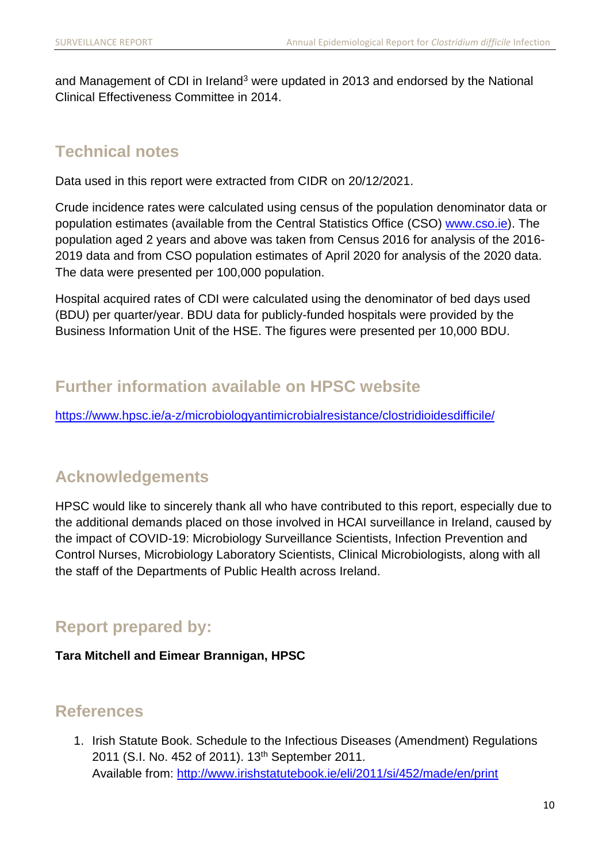and Management of CDI in Ireland<sup>3</sup> were updated in 2013 and endorsed by the National Clinical Effectiveness Committee in 2014.

## <span id="page-9-0"></span>**Technical notes**

Data used in this report were extracted from CIDR on 20/12/2021.

Crude incidence rates were calculated using census of the population denominator data or population estimates (available from the Central Statistics Office (CSO) [www.cso.ie\)](http://www.cso.ie/). The population aged 2 years and above was taken from Census 2016 for analysis of the 2016- 2019 data and from CSO population estimates of April 2020 for analysis of the 2020 data. The data were presented per 100,000 population.

Hospital acquired rates of CDI were calculated using the denominator of bed days used (BDU) per quarter/year. BDU data for publicly-funded hospitals were provided by the Business Information Unit of the HSE. The figures were presented per 10,000 BDU.

# <span id="page-9-1"></span>**Further information available on HPSC website**

<https://www.hpsc.ie/a-z/microbiologyantimicrobialresistance/clostridioidesdifficile/>

### <span id="page-9-2"></span>**Acknowledgements**

HPSC would like to sincerely thank all who have contributed to this report, especially due to the additional demands placed on those involved in HCAI surveillance in Ireland, caused by the impact of COVID-19: Microbiology Surveillance Scientists, Infection Prevention and Control Nurses, Microbiology Laboratory Scientists, Clinical Microbiologists, along with all the staff of the Departments of Public Health across Ireland.

### <span id="page-9-3"></span>**Report prepared by:**

### **Tara Mitchell and Eimear Brannigan, HPSC**

### <span id="page-9-4"></span>**References**

1. Irish Statute Book. Schedule to the Infectious Diseases (Amendment) Regulations 2011 (S.I. No. 452 of 2011). 13<sup>th</sup> September 2011. Available from:<http://www.irishstatutebook.ie/eli/2011/si/452/made/en/print>